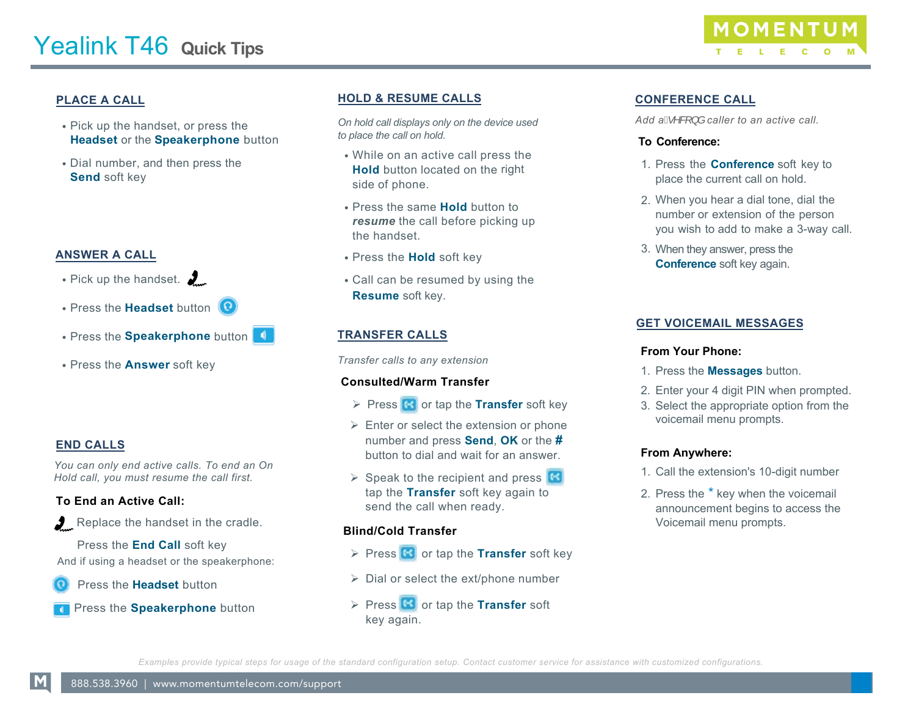## **PLACE A CALL**

- Pick up the handset, or press the **Headset** or the **Speakerphone** button
- Dial number, and then press the **Send** soft key

## **ANSWER A CALL**

- Pick up the handset.  $\sum$
- Press the **Headset** button
- Press the **Speakerphone** button
- Press the **Answer** soft key

# **END CALLS**

*You can only end active calls. To end an On Hold call, you must resume the call first.* 

## **To End an Active Call:**

Replace the handset in the cradle.

 Press the **End Call** soft key And if using a headset or the speakerphone:

Press the **Headset** button

Press the **Speakerphone** button

#### **HOLD & RESUME CALLS**

*On hold call displays only on the device used to place the call on hold.*

- While on an active call press the **Hold** button located on the right side of phone.
- Press the same **Hold** button to *resume* the call before picking up the handset.
- Press the **Hold** soft key
- Call can be resumed by using the **Resume** soft key.

# **TRANSFER CALLS**

*Transfer calls to any extension*

#### **Consulted/Warm Transfer**

- **Press G** or tap the **Transfer** soft key
- $\triangleright$  Enter or select the extension or phone number and press **Send**, **OK** or the **#** button to dial and wait for an answer.
- $\triangleright$  Speak to the recipient and press  $\boxtimes$ tap the **Transfer** soft key again to send the call when ready.

#### **Blind/Cold Transfer**

- **Press G** or tap the **Transfer** soft key
- $\triangleright$  Dial or select the ext/phone number
- **Press G** or tap the **Transfer** soft key again.

## **CONFERENCE CALL**

Add  $aA^{\wedge}B$  } *å* caller to an active call.

#### **To Conference:**

- 1. Press the **Conference** soft key to place the current call on hold.
- 2. When you hear a dial tone, dial the number or extension of the person you wish to add to make a 3-way call.
- When they answer, press the 3. **Conference** soft key again.

### **GET VOICEMAIL MESSAGES**

#### **From Your Phone:**

- 1. Press the **Messages** button.
- 2. Enter your 4 digit PIN when prompted.
- 3. Select the appropriate option from the voicemail menu prompts.

#### **From Anywhere:**

- 1. Call the extension's 10-digit number
- 2. Press the \* key when the voicemail announcement begins to access the Voicemail menu prompts.

*Examples provide typical steps for usage of the standard configuration setup. Contact customer service for assistance with customized configurations.*